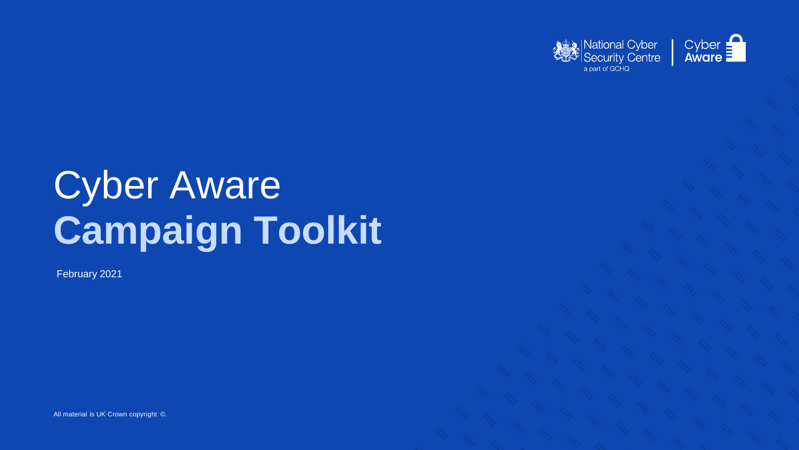# Cyber Aware **Campaign Toolkit**

All material is UK Crown copyright ©.





February 2021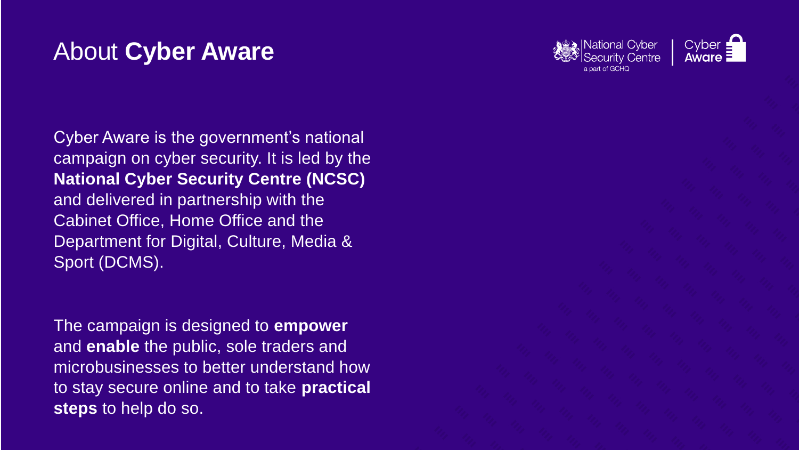### About **Cyber Aware**

Cyber Aware is the government's national campaign on cyber security. It is led by the **National Cyber Security Centre (NCSC)**  and delivered in partnership with the Cabinet Office, Home Office and the Department for Digital, Culture, Media & Sport (DCMS).

The campaign is designed to **empower** and **enable** the public, sole traders and microbusinesses to better understand how to stay secure online and to take **practical steps** to help do so.



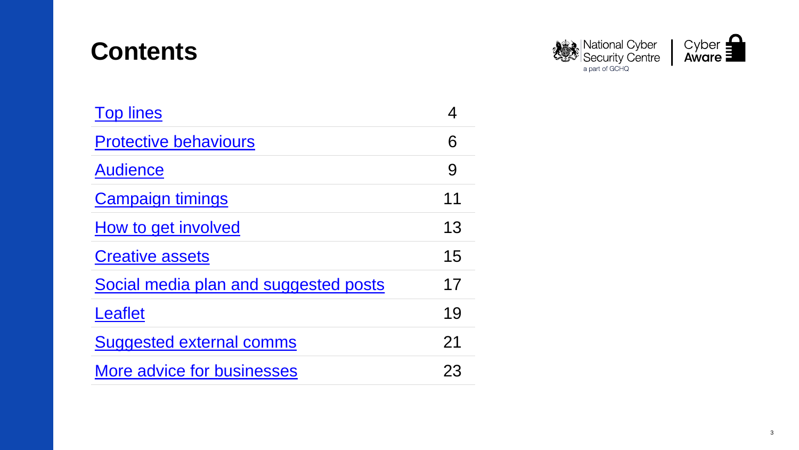### **Contents**

| <b>Top lines</b>                      |    |
|---------------------------------------|----|
| <b>Protective behaviours</b>          |    |
| <b>Audience</b>                       |    |
| <b>Campaign timings</b>               | 11 |
| How to get involved                   | 13 |
| <b>Creative assets</b>                | 15 |
| Social media plan and suggested posts | 17 |
| Leaflet                               | 19 |
| <b>Suggested external comms</b>       | 21 |
| <b>More advice for businesses</b>     | 23 |





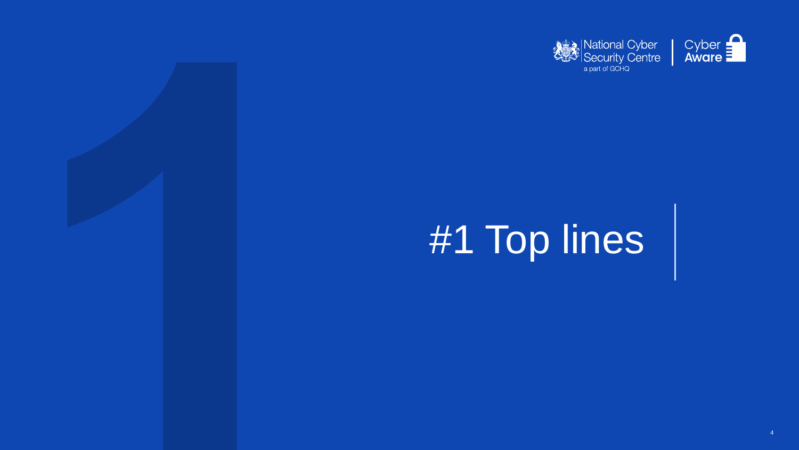





# #1 Top lines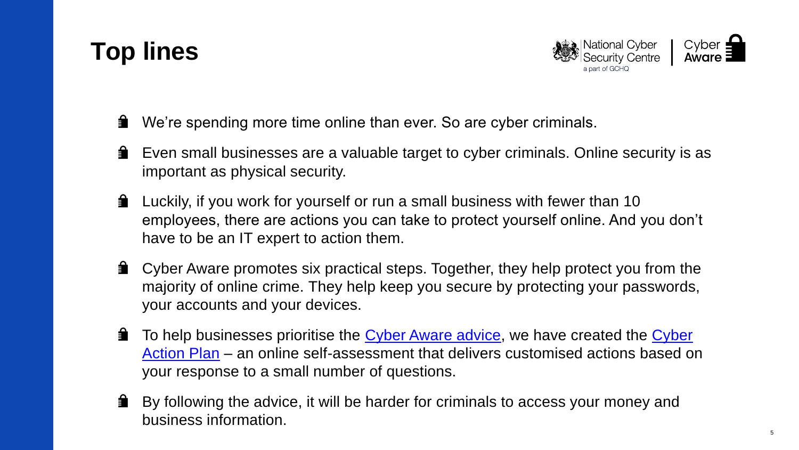## <span id="page-4-0"></span>**Top lines**

- 蒙 We're spending more time online than ever. So are cyber criminals.
- **■** Even small businesses are a valuable target to cyber criminals. Online security is as important as physical security.
- **Luckily, if you work for yourself or run a small business with fewer than 10** employees, there are actions you can take to protect yourself online. And you don't have to be an IT expert to action them.
- **A** Cyber Aware promotes six practical steps. Together, they help protect you from the majority of online crime. They help keep you secure by protecting your passwords, your accounts and your devices.
- ▆ [To help businesses prioritise the](https://www.ncsc.gov.uk/cyberaware/actionplan) [Cyber Aware advice](https://www.ncsc.gov.uk/cyberaware/home), we have created the Cyber Action Plan – an online self-assessment that delivers customised actions based on your response to a small number of questions.
- ▆ By following the advice, it will be harder for criminals to access your money and business information.



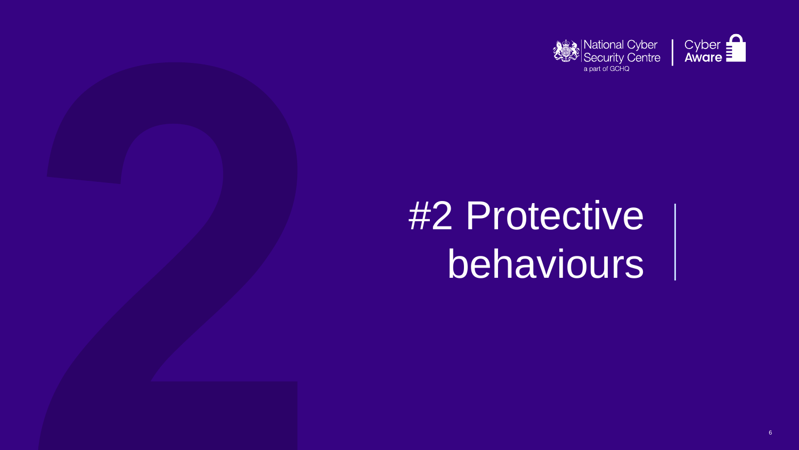





# **#2 Protective** behaviours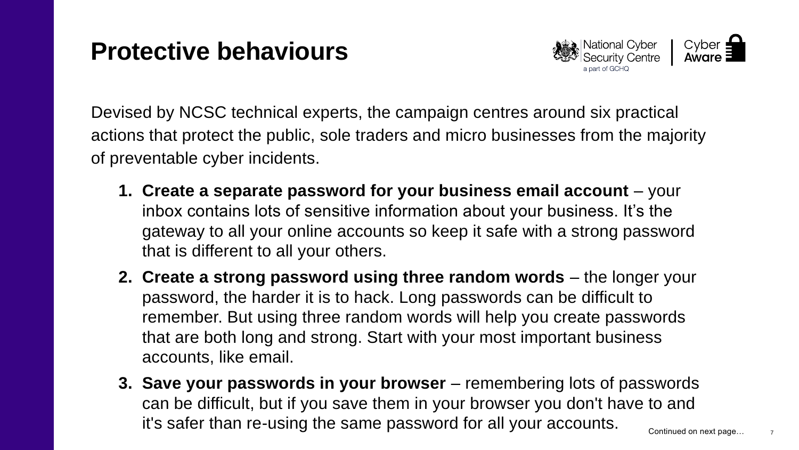## <span id="page-6-0"></span>**Protective behaviours**

- **1. Create a separate password for your business email account**  your inbox contains lots of sensitive information about your business. It's the gateway to all your online accounts so keep it safe with a strong password that is different to all your others.
- **2. Create a strong password using three random words** the longer your password, the harder it is to hack. Long passwords can be difficult to remember. But using three random words will help you create passwords that are both long and strong. Start with your most important business accounts, like email.
- **3. Save your passwords in your browser** remembering lots of passwords can be difficult, but if you save them in your browser you don't have to and it's safer than re-using the same password for all your accounts. Continued on next page...





Devised by NCSC technical experts, the campaign centres around six practical actions that protect the public, sole traders and micro businesses from the majority of preventable cyber incidents.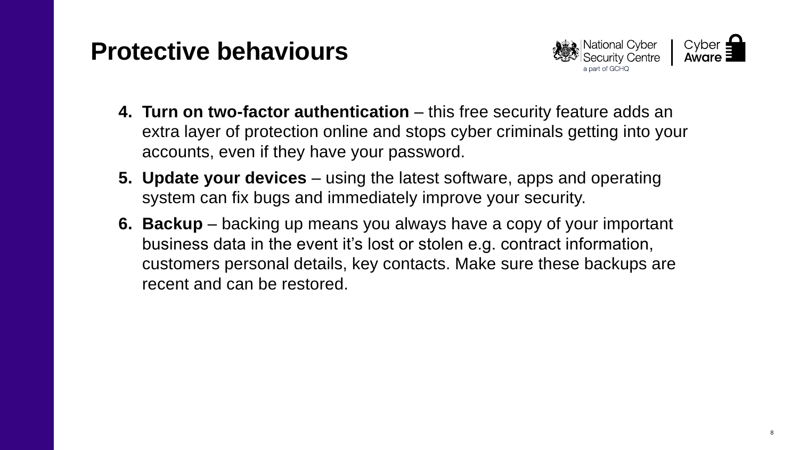### **Protective behaviours**

- **4. Turn on two-factor authentication** this free security feature adds an extra layer of protection online and stops cyber criminals getting into your accounts, even if they have your password.
- **5. Update your devices** using the latest software, apps and operating system can fix bugs and immediately improve your security.
- **6. Backup** backing up means you always have a copy of your important business data in the event it's lost or stolen e.g. contract information, customers personal details, key contacts. Make sure these backups are recent and can be restored.



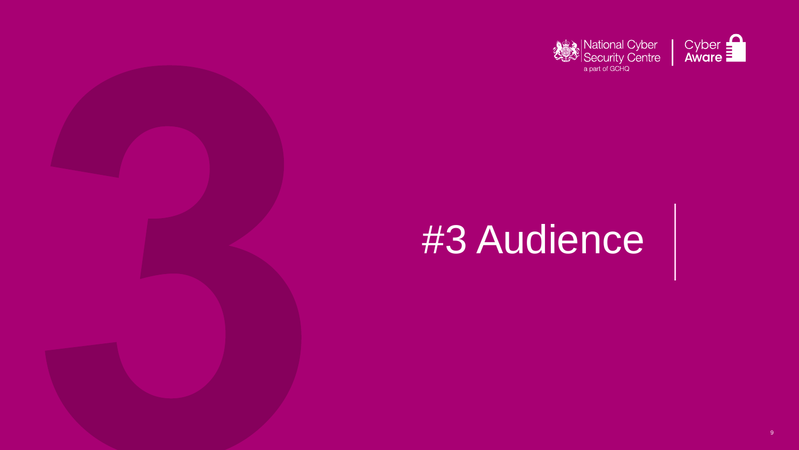





# #3 Audience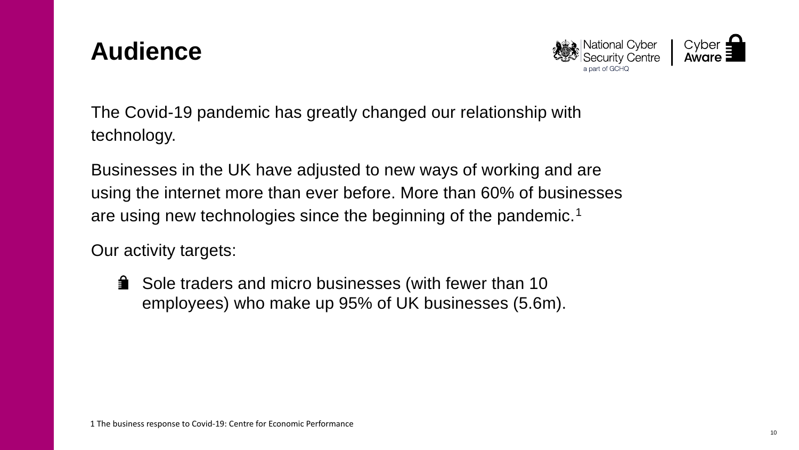### <span id="page-9-0"></span>**Audience**

The Covid-19 pandemic has greatly changed our relationship with technology.

Businesses in the UK have adjusted to new ways of working and are using the internet more than ever before. More than 60% of businesses are using new technologies since the beginning of the pandemic. 1

**■ Sole traders and micro businesses (with fewer than 10** employees) who make up 95% of UK businesses (5.6m).

Our activity targets:





- 
-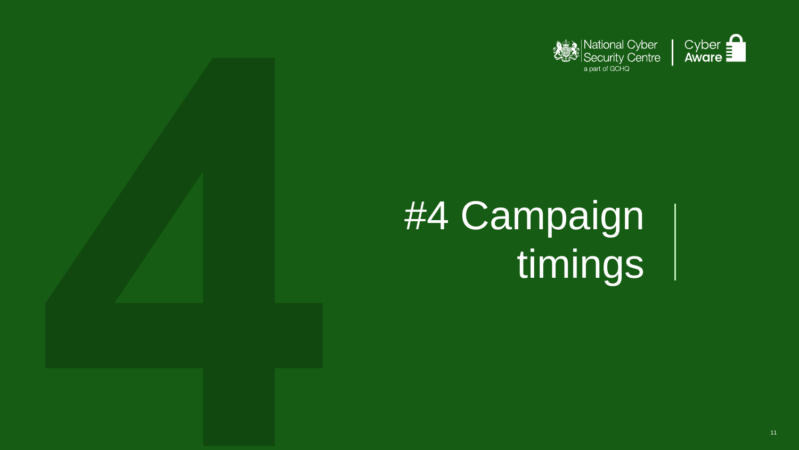





# #4 Campaign timings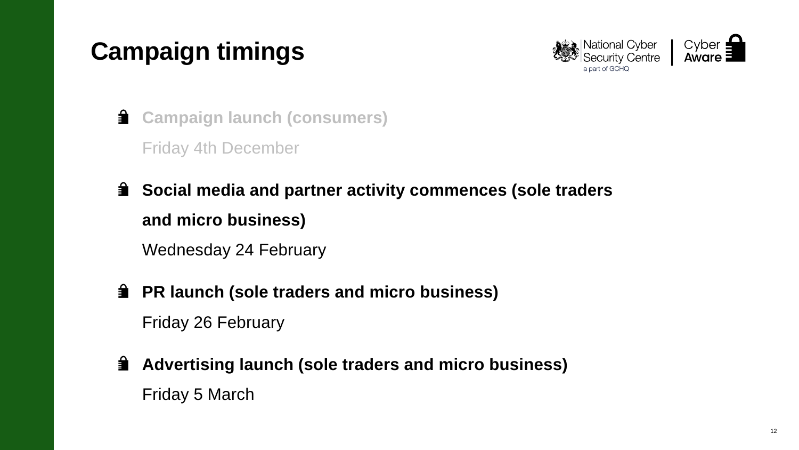# <span id="page-11-0"></span>**Campaign timings**

- **Campaign launch (consumers)**  Friday 4th December
- **EXED Social media and partner activity commences (sole traders and micro business)** Wednesday 24 February
- **PR launch (sole traders and micro business)** Friday 26 February
- **Advertising launch (sole traders and micro business)** Friday 5 March



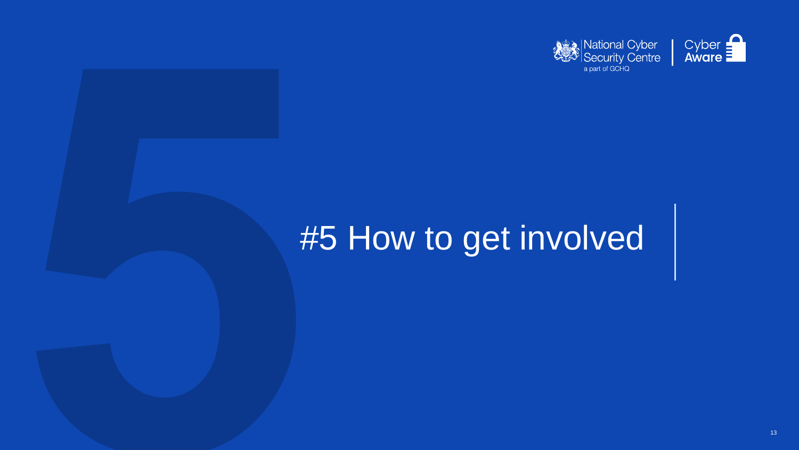



# #5 How to get involved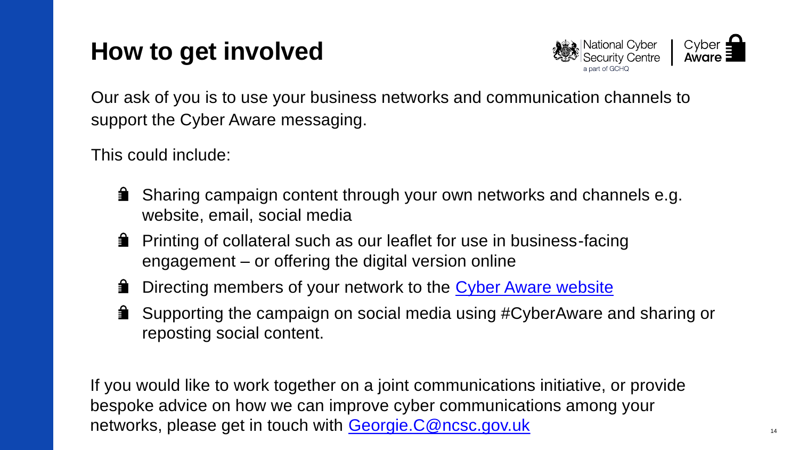## <span id="page-13-0"></span>**How to get involved**

Our ask of you is to use your business networks and communication channels to support the Cyber Aware messaging.

This could include:

- **Sharing campaign content through your own networks and channels e.g.** website, email, social media
- **Printing of collateral such as our leaflet for use in business-facing** engagement – or offering the digital version online
- **EXTE** Directing members of your network to the [Cyber Aware website](https://www.ncsc.gov.uk/cyberaware/home)
- **Supporting the campaign on social media using #CyberAware and sharing or** reposting social content.

If you would like to work together on a joint communications initiative, or provide bespoke advice on how we can improve cyber communications among your networks, please get in touch with **[Georgie.C@ncsc.gov.uk](mailto:Georgie.C@ncsc.gov.uk)** 14



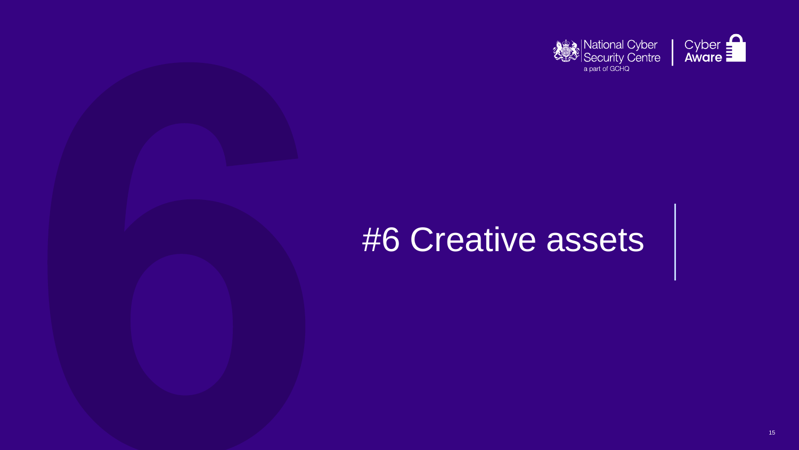





# **#6 Creative assets**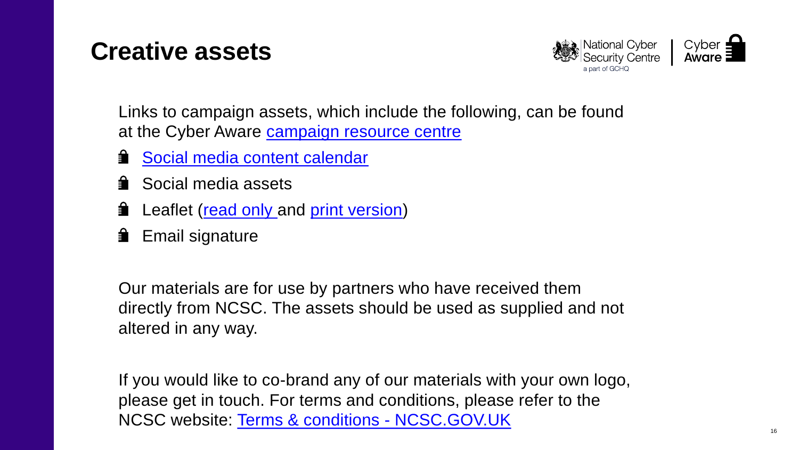### <span id="page-15-0"></span>**Creative assets**

Links to campaign assets, which include the following, can be found at the Cyber Aware [campaign resource centre](https://www.ncsc.gov.uk/information/cyber-aware-business-resource-centre)

- **[Social media content calendar](https://www.ncsc.gov.uk/files/Cyber%20Aware%20Content%20Calendar_Sole%20traders%20and%20micros%20launch_24%20Feb-27%20Mar.xlsx)**
- Social media assets
- 蒙 Leaflet ([read only a](https://www.ncsc.gov.uk/files/CyberAware_MicroBusinesses%20Leaflet_Read.pdf)nd [print version\)](https://www.ncsc.gov.uk/files/CyberAware_MicroBusinesses%20Leaflet_Print.pdf)
- **Email signature**

Our materials are for use by partners who have received them directly from NCSC. The assets should be used as supplied and not altered in any way.

If you would like to co-brand any of our materials with your own logo, please get in touch. For terms and conditions, please refer to the NCSC website: [Terms & conditions -](https://www.ncsc.gov.uk/section/about-this-website/terms-and-conditions#section_2) NCSC.GOV.UK



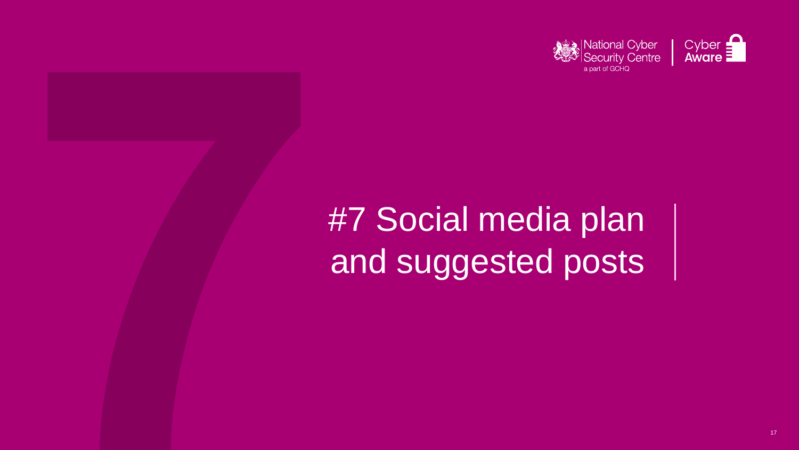



# #7 Social media plan and suggested posts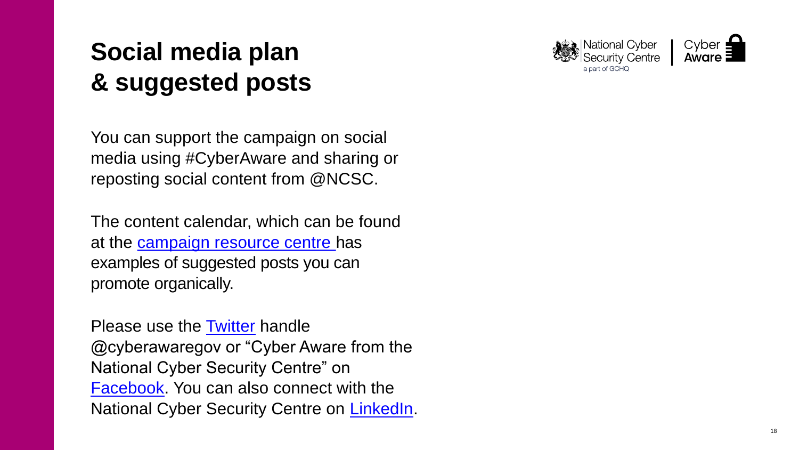## <span id="page-17-0"></span>**Social media plan & suggested posts**

You can support the campaign on social media using #CyberAware and sharing or reposting social content from @NCSC.

Please use the [Twitter](https://twitter.com/cyberawaregov) handle @cyberawaregov or "Cyber Aware from the National Cyber Security Centre" on **[Facebook](https://www.facebook.com/cyberawaregov/)**. You can also connect with the National Cyber Security Centre on [LinkedIn](https://www.linkedin.com/company/national-cyber-security-centre/).





The content calendar, which can be found at the [campaign resource centre h](https://www.ncsc.gov.uk/information/cyber-aware-business-resource-centre)as examples of suggested posts you can promote organically.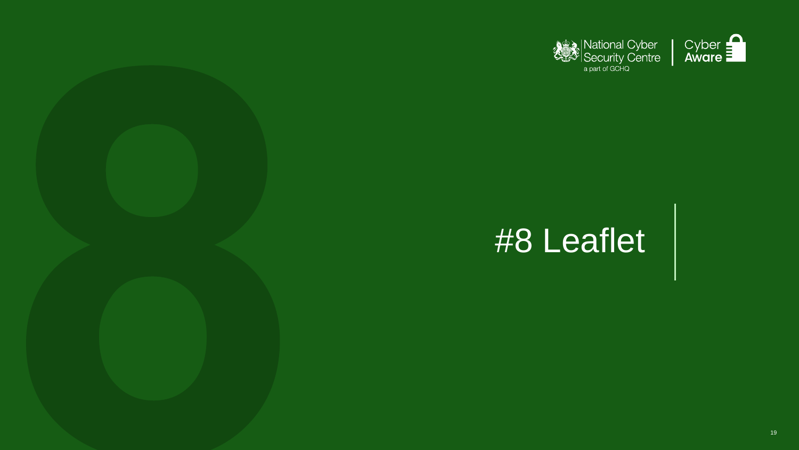





# #8 Leaflet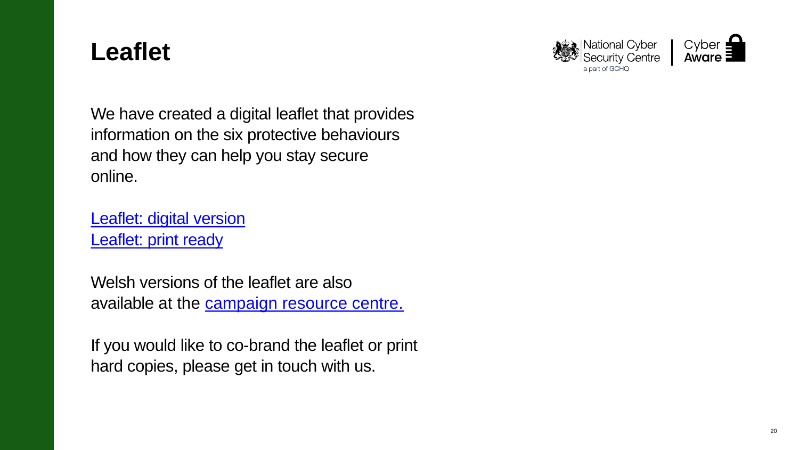### <span id="page-19-0"></span>**Leaflet**

[Leaflet: digital version](https://www.ncsc.gov.uk/files/CyberAware_MicroBusinesses%20Leaflet_Read.pdf) [Leaflet: print ready](https://www.ncsc.gov.uk/files/CyberAware_MicroBusinesses%20Leaflet_Print.pdf)

We have created a digital leaflet that provides information on the six protective behaviours and how they can help you stay secure online.

Welsh versions of the leaflet are also available at the **campaign resource centre.** 

If you would like to co-brand the leaflet or print hard copies, please get in touch with us.



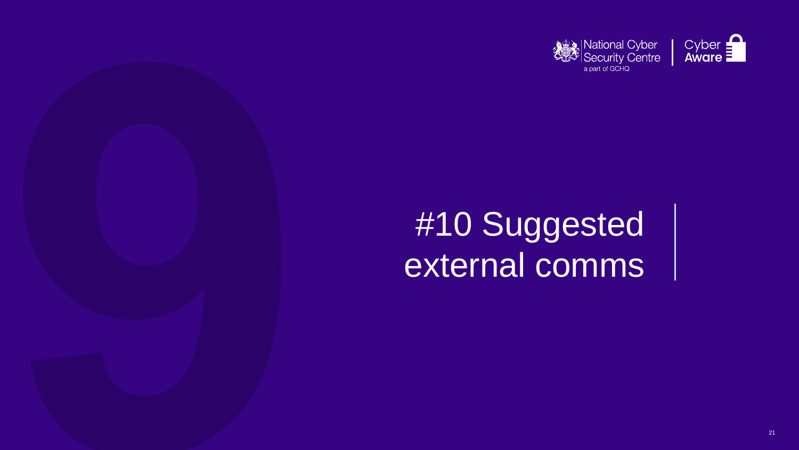





# #10 Suggested external comms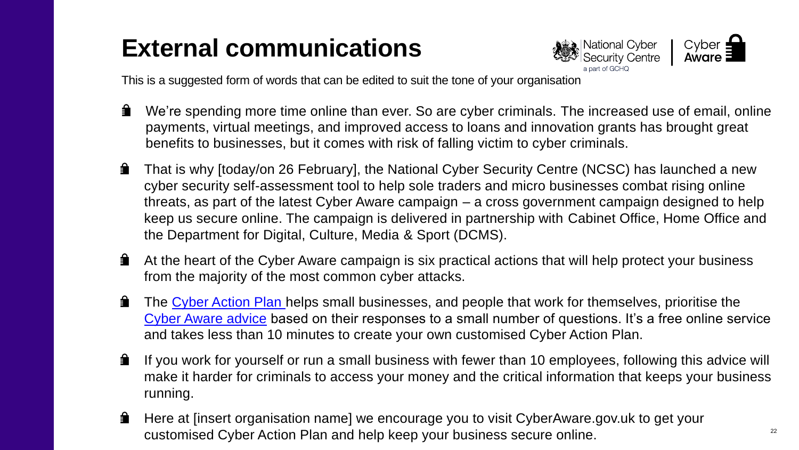## <span id="page-21-0"></span>**External communications**

This is a suggested form of words that can be edited to suit the tone of your organisation

threats, as part of the latest Cyber Aware campaign – a cross government campaign designed to help keep us secure online. The campaign is delivered in partnership with Cabinet Office, Home Office and

[Cyber Aware advice](https://www.ncsc.gov.uk/cyberaware/home) based on their responses to a small number of questions. It's a free online service

If you work for yourself or run a small business with fewer than 10 employees, following this advice will make it harder for criminals to access your money and the critical information that keeps your business

- $\hat{ }$ payments, virtual meetings, and improved access to loans and innovation grants has brought great benefits to businesses, but it comes with risk of falling victim to cyber criminals.
- ਵਿੰ That is why [today/on 26 February], the National Cyber Security Centre (NCSC) has launched a new cyber security self-assessment tool to help sole traders and micro businesses combat rising online the Department for Digital, Culture, Media & Sport (DCMS).
- ੁ At the heart of the Cyber Aware campaign is six practical actions that will help protect your business from the majority of the most common cyber attacks.
- ੁ The [Cyber Action Plan](https://www.ncsc.gov.uk/cyberaware/actionplan) helps small businesses, and people that work for themselves, prioritise the and takes less than 10 minutes to create your own customised Cyber Action Plan.
- ਵਿੰ running.
- ੁ Here at [insert organisation name] we encourage you to visit CyberAware.gov.uk to get your customised Cyber Action Plan and help keep your business secure online.





We're spending more time online than ever. So are cyber criminals. The increased use of email, online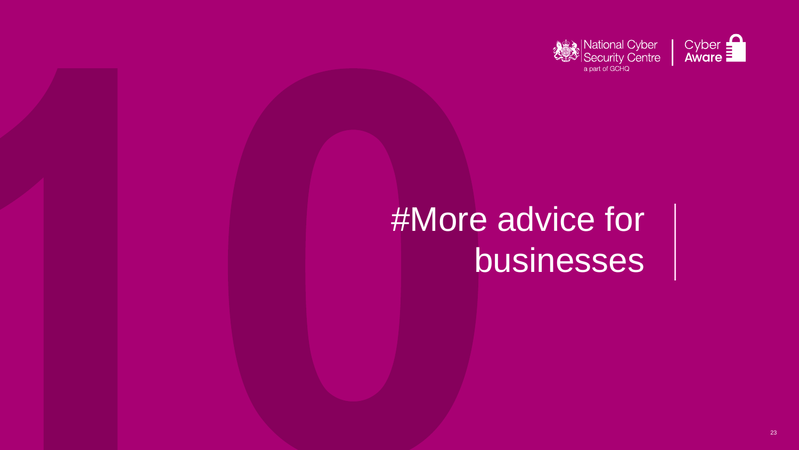





# #More advice for businesses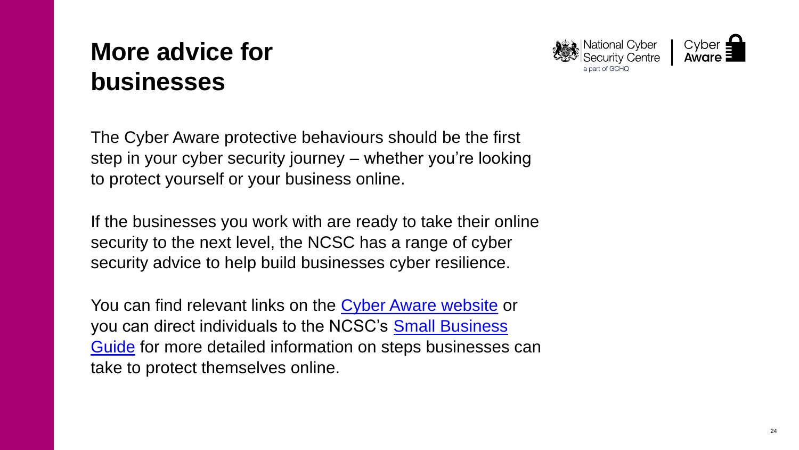## <span id="page-23-0"></span>**More advice for businesses**

The Cyber Aware protective behaviours should be the first step in your cyber security journey – whether you're looking to protect yourself or your business online.

If the businesses you work with are ready to take their online security to the next level, the NCSC has a range of cyber security advice to help build businesses cyber resilience.

You can find relevant links on the [Cyber Aware website](https://www.ncsc.gov.uk/cyberaware/home) or [you can direct individuals to the NCSC's Small Business](https://www.ncsc.gov.uk/collection/small-business-guide)  Guide for more detailed information on steps businesses can take to protect themselves online.